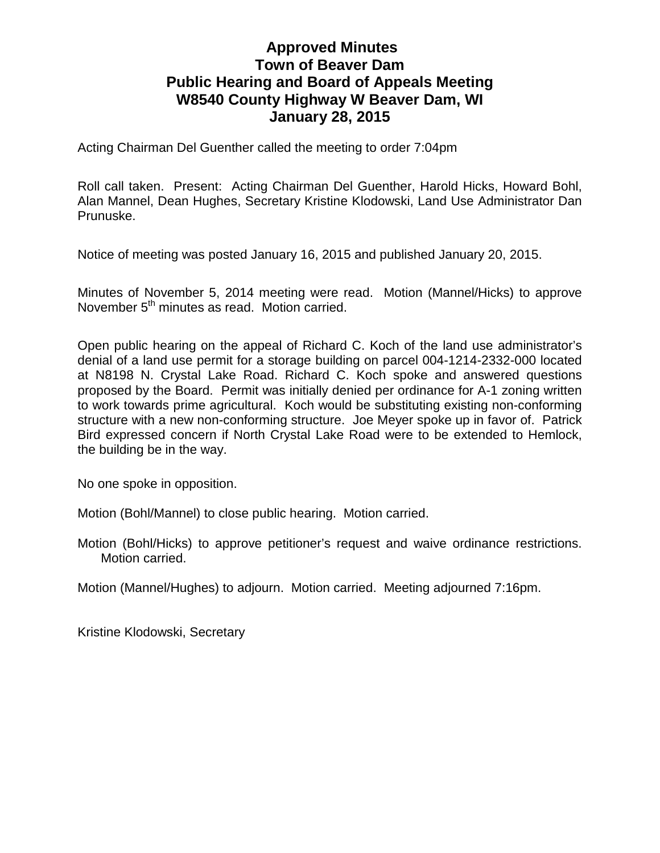## **Approved Minutes Town of Beaver Dam Public Hearing and Board of Appeals Meeting W8540 County Highway W Beaver Dam, WI January 28, 2015**

Acting Chairman Del Guenther called the meeting to order 7:04pm

Roll call taken. Present: Acting Chairman Del Guenther, Harold Hicks, Howard Bohl, Alan Mannel, Dean Hughes, Secretary Kristine Klodowski, Land Use Administrator Dan Prunuske.

Notice of meeting was posted January 16, 2015 and published January 20, 2015.

Minutes of November 5, 2014 meeting were read. Motion (Mannel/Hicks) to approve November 5<sup>th</sup> minutes as read. Motion carried.

Open public hearing on the appeal of Richard C. Koch of the land use administrator's denial of a land use permit for a storage building on parcel 004-1214-2332-000 located at N8198 N. Crystal Lake Road. Richard C. Koch spoke and answered questions proposed by the Board. Permit was initially denied per ordinance for A-1 zoning written to work towards prime agricultural. Koch would be substituting existing non-conforming structure with a new non-conforming structure. Joe Meyer spoke up in favor of. Patrick Bird expressed concern if North Crystal Lake Road were to be extended to Hemlock, the building be in the way.

No one spoke in opposition.

Motion (Bohl/Mannel) to close public hearing. Motion carried.

Motion (Bohl/Hicks) to approve petitioner's request and waive ordinance restrictions. Motion carried.

Motion (Mannel/Hughes) to adjourn. Motion carried. Meeting adjourned 7:16pm.

Kristine Klodowski, Secretary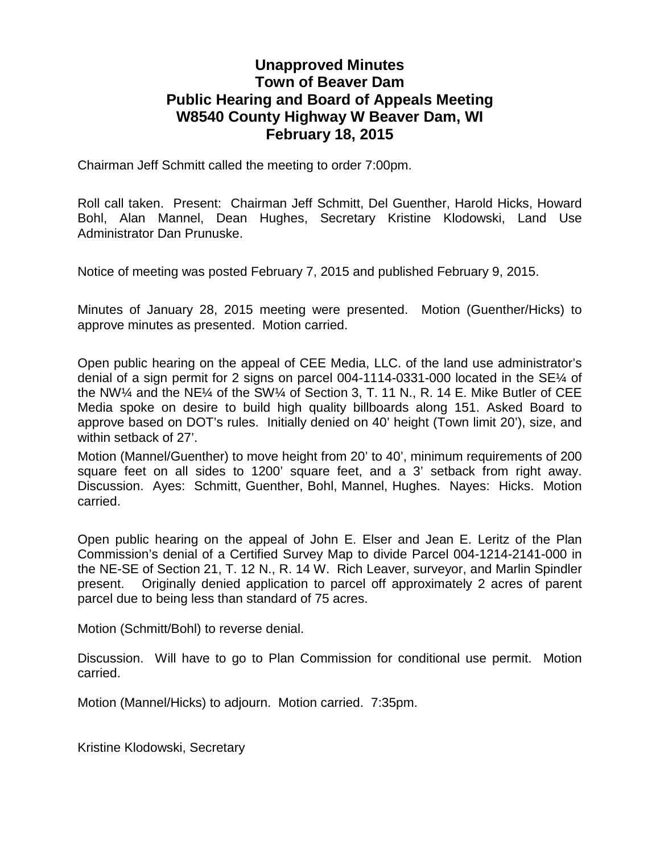## **Unapproved Minutes Town of Beaver Dam Public Hearing and Board of Appeals Meeting W8540 County Highway W Beaver Dam, WI February 18, 2015**

Chairman Jeff Schmitt called the meeting to order 7:00pm.

Roll call taken. Present: Chairman Jeff Schmitt, Del Guenther, Harold Hicks, Howard Bohl, Alan Mannel, Dean Hughes, Secretary Kristine Klodowski, Land Use Administrator Dan Prunuske.

Notice of meeting was posted February 7, 2015 and published February 9, 2015.

Minutes of January 28, 2015 meeting were presented. Motion (Guenther/Hicks) to approve minutes as presented. Motion carried.

Open public hearing on the appeal of CEE Media, LLC. of the land use administrator's denial of a sign permit for 2 signs on parcel 004-1114-0331-000 located in the SE¼ of the NW¼ and the NE¼ of the SW¼ of Section 3, T. 11 N., R. 14 E. Mike Butler of CEE Media spoke on desire to build high quality billboards along 151. Asked Board to approve based on DOT's rules. Initially denied on 40' height (Town limit 20'), size, and within setback of 27'.

Motion (Mannel/Guenther) to move height from 20' to 40', minimum requirements of 200 square feet on all sides to 1200' square feet, and a 3' setback from right away. Discussion. Ayes: Schmitt, Guenther, Bohl, Mannel, Hughes. Nayes: Hicks. Motion carried.

Open public hearing on the appeal of John E. Elser and Jean E. Leritz of the Plan Commission's denial of a Certified Survey Map to divide Parcel 004-1214-2141-000 in the NE-SE of Section 21, T. 12 N., R. 14 W. Rich Leaver, surveyor, and Marlin Spindler present. Originally denied application to parcel off approximately 2 acres of parent parcel due to being less than standard of 75 acres.

Motion (Schmitt/Bohl) to reverse denial.

Discussion. Will have to go to Plan Commission for conditional use permit. Motion carried.

Motion (Mannel/Hicks) to adjourn. Motion carried. 7:35pm.

Kristine Klodowski, Secretary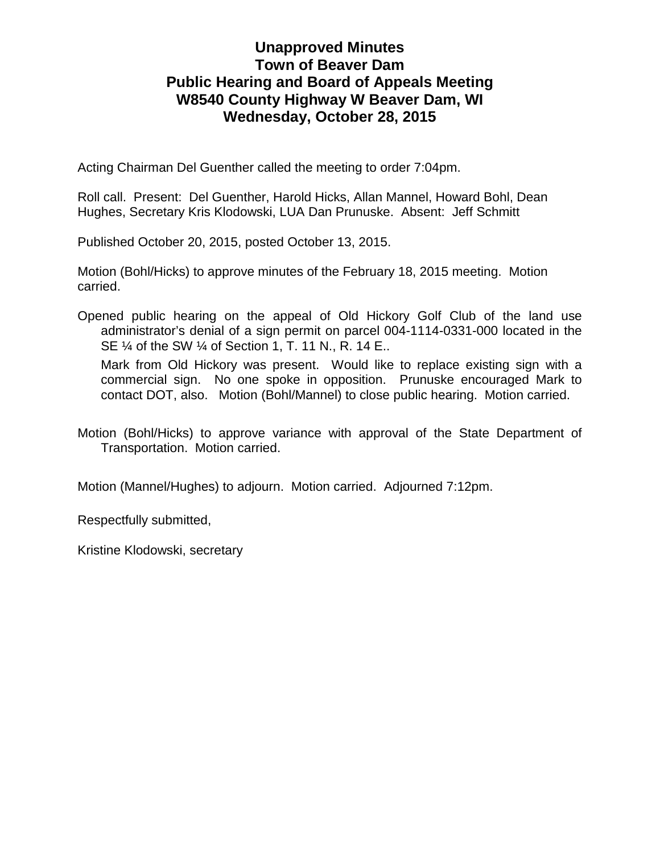## **Unapproved Minutes Town of Beaver Dam Public Hearing and Board of Appeals Meeting W8540 County Highway W Beaver Dam, WI Wednesday, October 28, 2015**

Acting Chairman Del Guenther called the meeting to order 7:04pm.

Roll call. Present: Del Guenther, Harold Hicks, Allan Mannel, Howard Bohl, Dean Hughes, Secretary Kris Klodowski, LUA Dan Prunuske. Absent: Jeff Schmitt

Published October 20, 2015, posted October 13, 2015.

Motion (Bohl/Hicks) to approve minutes of the February 18, 2015 meeting. Motion carried.

Opened public hearing on the appeal of Old Hickory Golf Club of the land use administrator's denial of a sign permit on parcel 004-1114-0331-000 located in the SE ¼ of the SW ¼ of Section 1, T. 11 N., R. 14 E..

Mark from Old Hickory was present. Would like to replace existing sign with a commercial sign. No one spoke in opposition. Prunuske encouraged Mark to contact DOT, also. Motion (Bohl/Mannel) to close public hearing. Motion carried.

Motion (Bohl/Hicks) to approve variance with approval of the State Department of Transportation. Motion carried.

Motion (Mannel/Hughes) to adjourn. Motion carried. Adjourned 7:12pm.

Respectfully submitted,

Kristine Klodowski, secretary